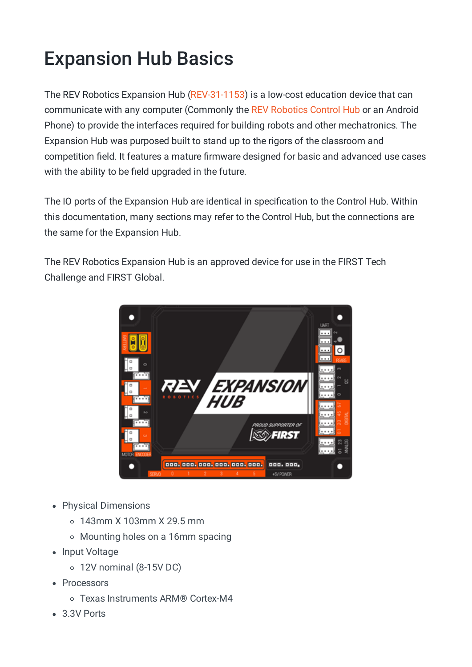## Expansion Hub Basics

The REV Robotics Expansion Hub [\(REV-31-1153\)](https://www.revrobotics.com/rev-31-1153/) is a low-cost education device that can communicate with any computer (Commonly the REV Robotics Control Hub or an Android Phone) to provide the interfaces required for building robots and other mechatronics. The Expansion Hub was purposed built to stand up to the rigors of the classroom and competition field. It features a mature firmware designed for basic and advanced use cases with the ability to be field upgraded in the future.

The IO ports of the Expansion Hub are identical in specification to the Control Hub. Within this documentation, many sections may refer to the Control Hub, but the connections are the same for the Expansion Hub.

The REV Robotics Expansion Hub is an approved device for use in the FIRST Tech Challenge and FIRST Global.



- Physical Dimensions
	- 143mm X 103mm X 29.5 mm
	- Mounting holes on a 16mm spacing
- Input Voltage
	- 12V nominal (8-15V DC)
- Processors
	- Texas Instruments ARM® Cortex-M4
- 3.3V Ports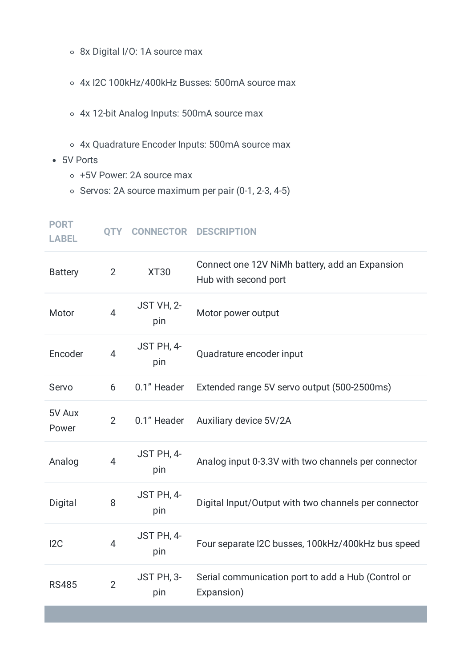- 8x Digital I/O: 1A source max
- 4x I2C 100kHz/400kHz Busses: 500mA source max
- 4x 12-bit Analog Inputs: 500mA source max
- 4x Quadrature Encoder Inputs: 500mA source max
- 5V Ports
	- +5V Power: 2A source max
	- $\circ$  Servos: 2A source maximum per pair (0-1, 2-3, 4-5)

| <b>PORT</b><br><b>LABEL</b> | <b>QTY</b>     |                   | <b>CONNECTOR DESCRIPTION</b>                                           |
|-----------------------------|----------------|-------------------|------------------------------------------------------------------------|
| <b>Battery</b>              | 2              | <b>XT30</b>       | Connect one 12V NiMh battery, add an Expansion<br>Hub with second port |
| Motor                       | $\overline{4}$ | JST VH, 2-<br>pin | Motor power output                                                     |
| Encoder                     | 4              | JST PH, 4-<br>pin | Quadrature encoder input                                               |
| Servo                       | 6              | 0.1" Header       | Extended range 5V servo output (500-2500ms)                            |
| 5V Aux<br>Power             | $\overline{2}$ | 0.1" Header       | Auxiliary device 5V/2A                                                 |
| Analog                      | $\overline{4}$ | JST PH, 4-<br>pin | Analog input 0-3.3V with two channels per connector                    |
| Digital                     | 8              | JST PH, 4-<br>pin | Digital Input/Output with two channels per connector                   |
| 12C                         | 4              | JST PH, 4-<br>pin | Four separate I2C busses, 100kHz/400kHz bus speed                      |
| <b>RS485</b>                | $\overline{2}$ | JST PH, 3-<br>pin | Serial communication port to add a Hub (Control or<br>Expansion)       |